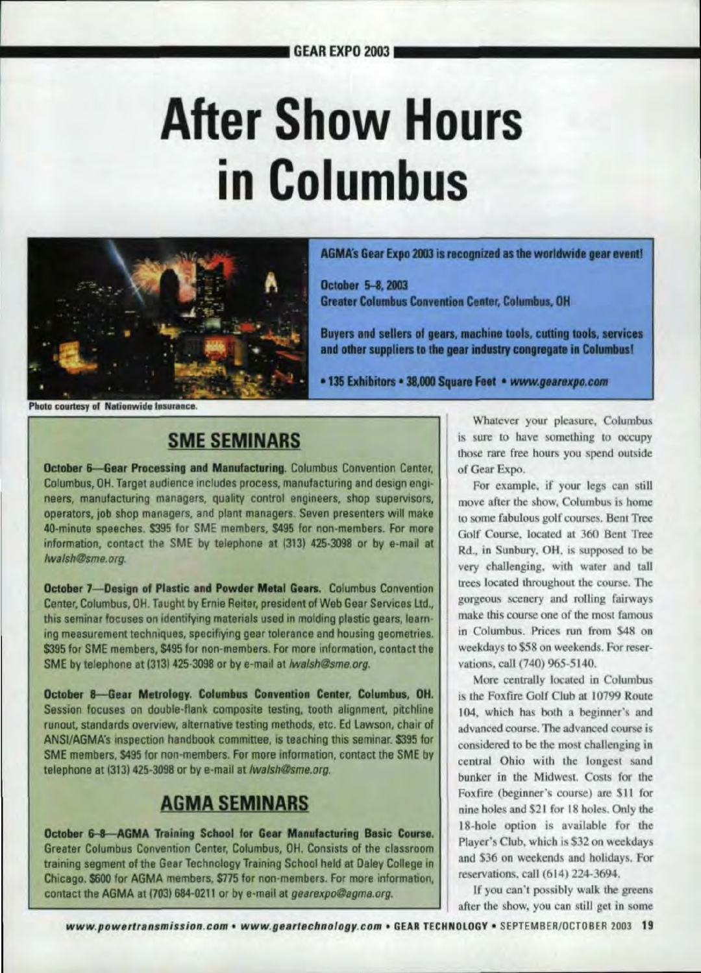# r Show Houl in Colu



AGMA's Gear Expo 2003 is recognized as the worldwide gear event!

October 5-8, 2003 **Greater Columbus Convention Center, Columbus, OH** 

Buyers and sellers of gears, machine tools, cutting tools, services and other suppliers to the gear industry congregate in Columbus!

• 135 Exhibitors • 38,000 Square Feet • www.gearexpo.com

**Photo courtesy of Nationwide Insurance** 

### **SME SEMINARS**

October 6-Gear Processing and Manufacturing. Columbus Convention Center, Columbus, OH. Target audience includes process, manufacturing and design engineers, manufacturing managers, quality control engineers, shop supervisors, operators, job shop managers, and plant managers. Seven presenters will make 4O-minute speeches. \$395 for SME members, \$495 for non-members. For more information, contact the SME by telephone at (313) 425-3098 or by e-mail at *lwa/shOsme.org.*

October 7-Design of Plastic and Powder Metal Gears. Columbus Convention Center, Columbus, OH, Taught by Ernie Reiter, president of Web Gear Services Ltd., this seminar focuses on identifying materials used in molding plastic gears, learning measurement techniques, specifiying gear tolerance and housing geometries. \$395 for SME members, \$495 for non-members. For more information, contact the SME by telephone at (313) 425-3098 or by e-mail at *lwalsh@sme.org*.

October 8-Gear Metrology. Columbus Convention Center, Columbus, OH. Session focuses on double-flank composite testing, tooth alignment, pitchline runout. standards overview, alternative testing methods, etc. Ed lawson, chair of ANSI/AGMA's inspection handbook committee, is teaching this seminar. \$395 for SME members, \$495 for non-members. For more information, contact the SME by telephone at (313) 425-3098 or by e-mail at *lwalsh@sme.org*.

## **AGMA SEMINARS**

October 6-8-AGMA Training School for Gear Manufacturing Basic Course. Greater Columbus Convention Center, Columbus, OH. Consists of the classroom training segment of the Gear Technology Training School held at Daley College in Chicago. S600 for AGMA members, \$775 for non-members. For more information. contact the AGMA at (703) 684-0211 or by e-mail at *gearexpo@agma.org.* 

Whatever your pleasure, Columbus is sure to have something to occupy those rare free hours you spend outside of Gear Expo.

For example, if your legs can still move after the show, Columbus is home to some fabulous golf courses. Bent Tree Golf Course, located at 360 Bent Tree Rd., in Sunbury, OH, is supposed to be very challenging, with water and tall trees located throughout the course. The gorgeous scenery and rolling fairways make this course one of the most famous in Columbus. Prices run from \$48 on weekdays to \$58 on weekends. For reservations, call (740) 965-5140.

More centrally located in Columbus is the Foxfire Golf Club at 10799 Route 104, which has both a beginner's and advanced course. The advanced course is considered to be the most challenging in central Ohio with the longest sand bunker in the Midwest. Costs for the Foxfire (beginner's course) are \$11 for nine holes and \$21 for 18 holes. Only the 18-hole option is available for the Player's Club, which is \$32 on weekdays and \$36 on weekends and holidays. For reservations, call (614) 224-3694.

If you can't possibly walk the greens after the show, you can still get in some

www.powertransmission.com • www.geartechnology.com • GEAR TECHNOLOGY • SEPTEMBER/OCTOBER 2003 19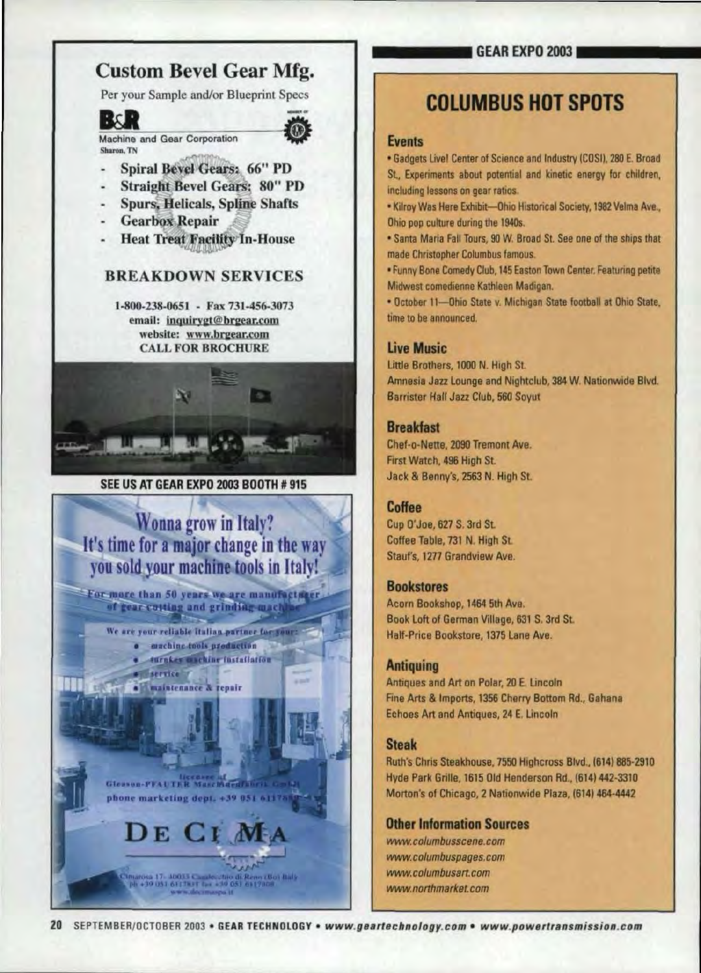

#### **GEAR EXPO 2003 I**

## **COLUMBUS HOT SPOTS**

#### **Events**

. Gadgets Live! Center of Science and Industry (COSI), 280 E. Broad St., Experiments about potential and kinetic energy for children. including lessons on gear ratios.

. Kilroy Was Here Exhibit-Ohio Historical Society, 1982 Velma Ave., Ohio pop culture during the 1940s.

. Santa Maria Fall Tours, 90 W. Broad St. See one of the ships that made Christopher Columbus famous.

. Funny Bone Comedy Club, 145 Easton Town Center, Featuring petite Midwest comedienne Kathleen Madigan.

. October 11-Ohio State v. Michigan State football at Ohio State. time to be announced.

#### **Live Music**

Little Brothers, 1000 N. High St. Amnesia Jazz Lounge and Nightclub, 384 W. Nationwide Blvd. Barrister Hall Jazz Club, 560 Sovut

#### **Breakfast**

Chef-o-Nette, 2090 Tremont Ave. First Watch, 496 High St. Jack & Benny's, 2563 N. High St.

#### Coffee

Cup O'Joe, 627 S. 3rd St. Coffee Table, 731 N. High St. Stauf's, 1277 Grandview Ave.

#### **Bookstores**

Acorn Bookshop, 1464 5th Ave. Book Loft of German Village, 631 S. 3rd St. Half-Price Bookstore, 1375 Lane Ave.

#### **Antiquing**

Antiques and Art on Polar, 20 E. Lincoln Fine Arts & Imports, 1356 Cherry Bottom Rd., Gahana Echoes Art and Antiques, 24 E. Lincoln

#### **Steak**

Ruth's Chris Steakhouse, 7550 Highcross Blvd., (614) 885-2910 Hyde Park Grille, 1615 Old Henderson Rd., (614) 442-3310 Morton's of Chicago, 2 Nationwide Plaza, (614) 464-4442

#### **Other Information Sources**

www.columbusscene.com www.columbuspages.com www.columbusart.com www.northmarket.com